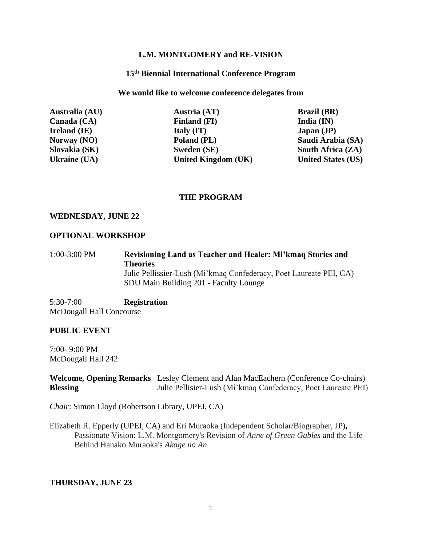### **L.M. MONTGOMERY and RE-VISION**

### **15 th Biennial International Conference Program**

**We would like to welcome conference delegates from**

**Australia (AU) Austria (AT) Brazil (BR) Canada (CA) Finland (FI) India (IN) Ireland (IE) Italy (IT) Japan (JP) Norway (NO) Poland (PL) Saudi Arabia (SA) Slovakia (SK) Sweden (SE) South Africa (ZA) Ukraine (UA) United Kingdom (UK) United States (US)**

### **THE PROGRAM**

#### **WEDNESDAY, JUNE 22**

#### **OPTIONAL WORKSHOP**

1:00-3:00 PM **Revisioning Land as Teacher and Healer: Mi'kmaq Stories and Theories** Julie Pellissier-Lush (Mi'kmaq Confederacy, Poet Laureate PEI, CA) SDU Main Building 201 - Faculty Lounge

5:30-7:00 **Registration** McDougall Hall Concourse

#### **PUBLIC EVENT**

7:00- 9:00 PM McDougall Hall 242

**Welcome, Opening Remarks** Lesley Clement and Alan MacEachern (Conference Co-chairs) **Blessing** Julie Pellisier-Lush (Mi'kmaq Confederacy, Poet Laureate PEI)

*Chair*: Simon Lloyd (Robertson Library, UPEI, CA)

Elizabeth R. Epperly (UPEI, CA) and Eri Muraoka (Independent Scholar/Biographer, JP)**,**  Passionate Vision: L.M. Montgomery's Revision of *Anne of Green Gables* and the Life Behind Hanako Muraoka's *Akage no An*

### **THURSDAY, JUNE 23**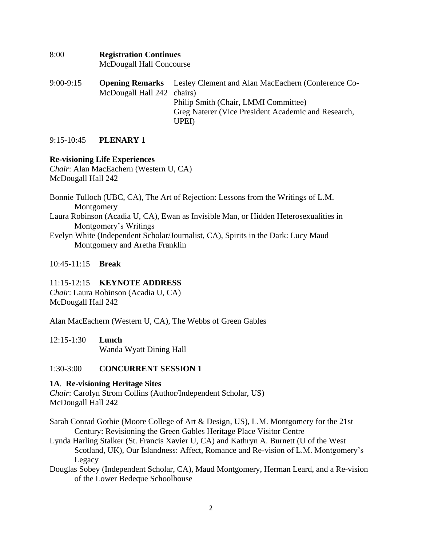| 8:00 | <b>Registration Continues</b>   |
|------|---------------------------------|
|      | <b>McDougall Hall Concourse</b> |

9:00-9:15 **Opening Remarks** Lesley Clement and Alan MacEachern (Conference Co-McDougall Hall 242 chairs) Philip Smith (Chair, LMMI Committee) Greg Naterer (Vice President Academic and Research, UPEI)

# 9:15-10:45 **PLENARY 1**

# **Re-visioning Life Experiences**

*Chair*: Alan MacEachern (Western U, CA) McDougall Hall 242

- Bonnie Tulloch (UBC, CA), The Art of Rejection: Lessons from the Writings of L.M. Montgomery
- Laura Robinson (Acadia U, CA), Ewan as Invisible Man, or Hidden Heterosexualities in Montgomery's Writings
- Evelyn White (Independent Scholar/Journalist, CA), Spirits in the Dark: Lucy Maud Montgomery and Aretha Franklin

# 10:45-11:15 **Break**

# 11:15-12:15 **KEYNOTE ADDRESS**

*Chair*: Laura Robinson (Acadia U, CA) McDougall Hall 242

Alan MacEachern (Western U, CA), The Webbs of Green Gables

12:15-1:30 **Lunch** Wanda Wyatt Dining Hall

# 1:30-3:00 **CONCURRENT SESSION 1**

# **1A**. **Re-visioning Heritage Sites**

*Chair*: Carolyn Strom Collins (Author/Independent Scholar, US) McDougall Hall 242

- Sarah Conrad Gothie (Moore College of Art & Design, US), L.M. Montgomery for the 21st Century: Revisioning the Green Gables Heritage Place Visitor Centre
- Lynda Harling Stalker (St. Francis Xavier U, CA) and Kathryn A. Burnett (U of the West Scotland, UK), Our Islandness: Affect, Romance and Re-vision of L.M. Montgomery's Legacy
- Douglas Sobey (Independent Scholar, CA), Maud Montgomery, Herman Leard, and a Re-vision of the Lower Bedeque Schoolhouse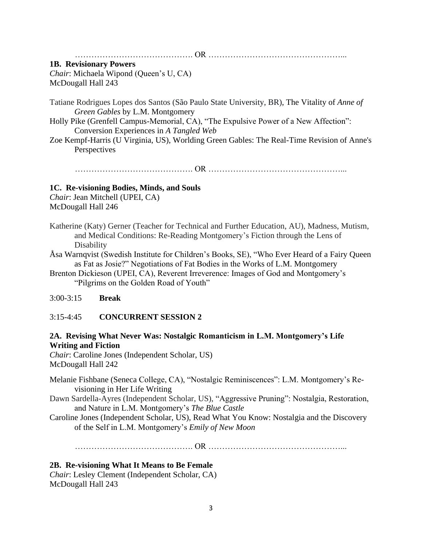……………………………………. OR …………………………………………...

### **1B. Revisionary Powers**

*Chair*: Michaela Wipond (Queen's U, CA) McDougall Hall 243

- Tatiane Rodrigues Lopes dos Santos (São Paulo State University, BR), The Vitality of *Anne of Green Gables* by L.M. Montgomery
- Holly Pike (Grenfell Campus-Memorial, CA), "The Expulsive Power of a New Affection": Conversion Experiences in *A Tangled Web*
- Zoe Kempf-Harris (U Virginia, US), Worlding Green Gables: The Real-Time Revision of Anne's **Perspectives**

……………………………………. OR …………………………………………...

# **1C. Re-visioning Bodies, Minds, and Souls**

*Chair*: Jean Mitchell (UPEI, CA) McDougall Hall 246

- Katherine (Katy) Gerner (Teacher for Technical and Further Education, AU), Madness, Mutism, and Medical Conditions: Re-Reading Montgomery's Fiction through the Lens of **Disability**
- Åsa Warnqvist (Swedish Institute for Children's Books, SE), "Who Ever Heard of a Fairy Queen as Fat as Josie?" Negotiations of Fat Bodies in the Works of L.M. Montgomery
- Brenton Dickieson (UPEI, CA), Reverent Irreverence: Images of God and Montgomery's "Pilgrims on the Golden Road of Youth"

# 3:00-3:15 **Break**

# 3:15-4:45 **CONCURRENT SESSION 2**

# **2A. Revising What Never Was: Nostalgic Romanticism in L.M. Montgomery's Life Writing and Fiction**

*Chair*: Caroline Jones (Independent Scholar, US) McDougall Hall 242

- Melanie Fishbane (Seneca College, CA), "Nostalgic Reminiscences": L.M. Montgomery's Revisioning in Her Life Writing
- Dawn Sardella-Ayres (Independent Scholar, US), "Aggressive Pruning": Nostalgia, Restoration, and Nature in L.M. Montgomery's *The Blue Castle*
- Caroline Jones (Independent Scholar, US), Read What You Know: Nostalgia and the Discovery of the Self in L.M. Montgomery's *Emily of New Moon*

……………………………………. OR …………………………………………...

# **2B. Re-visioning What It Means to Be Female**

*Chair*: Lesley Clement (Independent Scholar, CA) McDougall Hall 243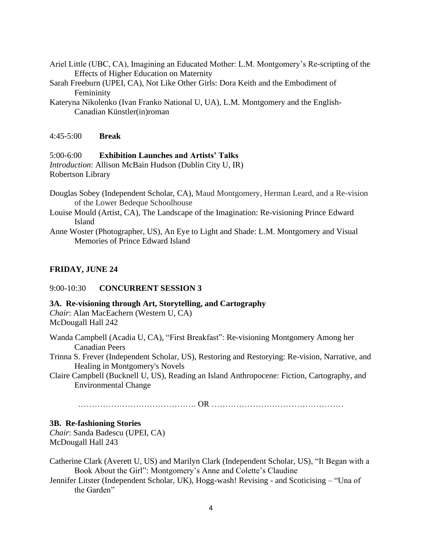Ariel Little (UBC, CA), Imagining an Educated Mother: L.M. Montgomery's Re-scripting of the Effects of Higher Education on Maternity

Sarah Freeburn (UPEI, CA), Not Like Other Girls: Dora Keith and the Embodiment of Femininity

Kateryna Nikolenko (Ivan Franko National U, UA), L.M. Montgomery and the English-Canadian Künstler(in)roman

# 4:45-5:00 **Break**

# 5:00-6:00 **Exhibition Launches and Artists' Talks**

*Introduction*: Allison McBain Hudson (Dublin City U, IR) Robertson Library

- Douglas Sobey (Independent Scholar, CA), Maud Montgomery, Herman Leard, and a Re-vision of the Lower Bedeque Schoolhouse
- Louise Mould (Artist, CA), The Landscape of the Imagination: Re-visioning Prince Edward Island
- Anne Woster (Photographer, US), An Eye to Light and Shade: L.M. Montgomery and Visual Memories of Prince Edward Island

# **FRIDAY, JUNE 24**

### 9:00-10:30 **CONCURRENT SESSION 3**

#### **3A. Re-visioning through Art, Storytelling, and Cartography**

*Chair*: Alan MacEachern (Western U, CA) McDougall Hall 242

Wanda Campbell (Acadia U, CA), "First Breakfast": Re-visioning Montgomery Among her Canadian Peers

Trinna S. Frever (Independent Scholar, US), Restoring and Restorying: Re-vision, Narrative, and Healing in Montgomery's Novels

Claire Campbell (Bucknell U, US), Reading an Island Anthropocene: Fiction, Cartography, and Environmental Change

……………………………………. OR …………………………………………

#### **3B. Re-fashioning Stories**

*Chair*: Sanda Badescu (UPEI, CA) McDougall Hall 243

Catherine Clark (Averett U, US) and Marilyn Clark (Independent Scholar, US), "It Began with a Book About the Girl": Montgomery's Anne and Colette's Claudine

Jennifer Litster (Independent Scholar, UK), Hogg-wash! Revising - and Scoticising – "Una of the Garden"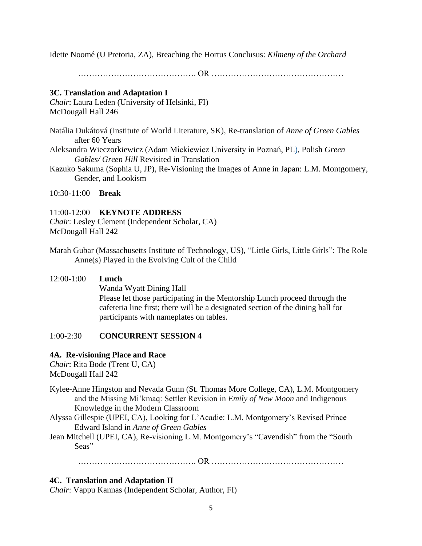Idette Noomé (U Pretoria, ZA), Breaching the Hortus Conclusus: *Kilmeny of the Orchard*

……………………………………. OR …………………………………………

# **3C. Translation and Adaptation I**

*Chair*: Laura Leden (University of Helsinki, FI) McDougall Hall 246

Natália Dukátová (Institute of World Literature, SK), Re-translation of *Anne of Green Gables* after 60 Years Aleksandra Wieczorkiewicz (Adam Mickiewicz University in Poznań, PL), Polish *Green* 

*Gables/ Green Hill* Revisited in Translation

Kazuko Sakuma (Sophia U, JP), Re-Visioning the Images of Anne in Japan: L.M. Montgomery, Gender, and Lookism

### 10:30-11:00 **Break**

# 11:00-12:00 **KEYNOTE ADDRESS**

*Chair*: Lesley Clement (Independent Scholar, CA) McDougall Hall 242

Marah Gubar (Massachusetts Institute of Technology, US), "Little Girls, Little Girls": The Role Anne(s) Played in the Evolving Cult of the Child

# 12:00-1:00 **Lunch**

Wanda Wyatt Dining Hall Please let those participating in the Mentorship Lunch proceed through the cafeteria line first; there will be a designated section of the dining hall for participants with nameplates on tables.

# 1:00-2:30 **CONCURRENT SESSION 4**

# **4A. Re-visioning Place and Race**

*Chair*: Rita Bode (Trent U, CA) McDougall Hall 242

- Kylee-Anne Hingston and Nevada Gunn (St. Thomas More College, CA), L.M. Montgomery and the Missing Mi'kmaq: Settler Revision in *Emily of New Moon* and Indigenous Knowledge in the Modern Classroom
- Alyssa Gillespie (UPEI, CA), Looking for L'Acadie: L.M. Montgomery's Revised Prince Edward Island in *Anne of Green Gables*
- Jean Mitchell (UPEI, CA), Re-visioning L.M. Montgomery's "Cavendish" from the "South Seas"

……………………………………. OR …………………………………………

# **4C. Translation and Adaptation II**

*Chair*: Vappu Kannas (Independent Scholar, Author, FI)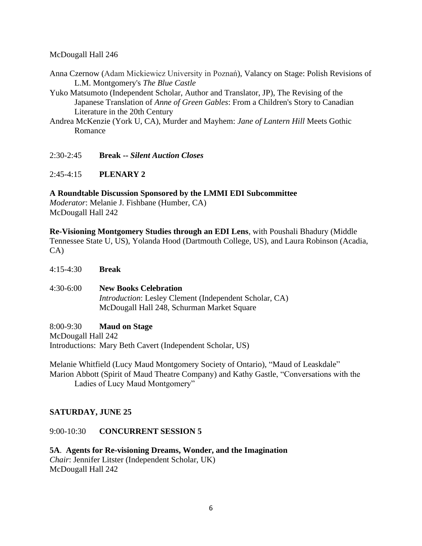# McDougall Hall 246

- Anna Czernow (Adam Mickiewicz University in Poznań), Valancy on Stage: Polish Revisions of L.M. Montgomery's *The Blue Castle*
- Yuko Matsumoto (Independent Scholar, Author and Translator, JP), The Revising of the Japanese Translation of *Anne of Green Gables*: From a Children's Story to Canadian Literature in the 20th Century
- Andrea McKenzie (York U, CA), Murder and Mayhem: *Jane of Lantern Hill* Meets Gothic Romance
- 2:30-2:45 **Break --** *Silent Auction Closes*

# 2:45-4:15 **PLENARY 2**

# **A Roundtable Discussion Sponsored by the LMMI EDI Subcommittee**

*Moderator*: Melanie J. Fishbane (Humber, CA) McDougall Hall 242

**Re-Visioning Montgomery Studies through an EDI Lens**, with Poushali Bhadury (Middle Tennessee State U, US), Yolanda Hood (Dartmouth College, US), and Laura Robinson (Acadia, CA)

- 4:15-4:30 **Break**
- 4:30-6:00 **New Books Celebration** *Introduction*: Lesley Clement (Independent Scholar, CA) McDougall Hall 248, Schurman Market Square

8:00-9:30 **Maud on Stage** McDougall Hall 242 Introductions: Mary Beth Cavert (Independent Scholar, US)

Melanie Whitfield (Lucy Maud Montgomery Society of Ontario), "Maud of Leaskdale" Marion Abbott (Spirit of Maud Theatre Company) and Kathy Gastle, "Conversations with the Ladies of Lucy Maud Montgomery"

# **SATURDAY, JUNE 25**

# 9:00-10:30 **CONCURRENT SESSION 5**

**5A**. **Agents for Re-visioning Dreams, Wonder, and the Imagination** *Chair*: Jennifer Litster (Independent Scholar, UK) McDougall Hall 242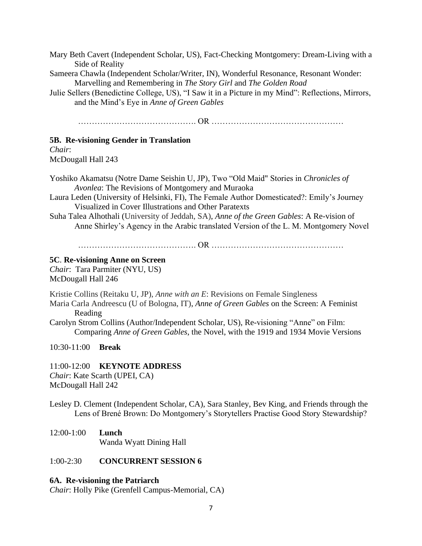Mary Beth Cavert (Independent Scholar, US), Fact-Checking Montgomery: Dream-Living with a Side of Reality Sameera Chawla (Independent Scholar/Writer, IN), Wonderful Resonance, Resonant Wonder: Marvelling and Remembering in *The Story Girl* and *The Golden Road* Julie Sellers (Benedictine College, US), "I Saw it in a Picture in my Mind": Reflections, Mirrors, and the Mind's Eye in *Anne of Green Gables*

……………………………………. OR …………………………………………

### **5B. Re-visioning Gender in Translation**

*Chair*: McDougall Hall 243

Yoshiko Akamatsu (Notre Dame Seishin U, JP), Two "Old Maid" Stories in *Chronicles of Avonlea*: The Revisions of Montgomery and Muraoka

Laura Leden (University of Helsinki, FI), The Female Author Domesticated?: Emily's Journey Visualized in Cover Illustrations and Other Paratexts

Suha Talea Alhothali (University of Jeddah, SA), *Anne of the Green Gables*: A Re-vision of Anne Shirley's Agency in the Arabic translated Version of the L. M. Montgomery Novel

……………………………………. OR …………………………………………

#### **5C**. **Re-visioning Anne on Screen**

*Chair*: Tara Parmiter (NYU, US) McDougall Hall 246

Kristie Collins (Reitaku U, JP), *Anne with an E*: Revisions on Female Singleness Maria Carla Andreescu (U of Bologna, IT), *Anne of Green Gables* on the Screen: A Feminist Reading Carolyn Strom Collins (Author/Independent Scholar, US), Re-visioning "Anne" on Film: Comparing *Anne of Green Gables*, the Novel, with the 1919 and 1934 Movie Versions

10:30-11:00 **Break**

11:00-12:00 **KEYNOTE ADDRESS** *Chair*: Kate Scarth (UPEI, CA) McDougall Hall 242

Lesley D. Clement (Independent Scholar, CA), Sara Stanley, Bev King, and Friends through the Lens of Brené Brown: Do Montgomery's Storytellers Practise Good Story Stewardship?

12:00-1:00 **Lunch** Wanda Wyatt Dining Hall

1:00-2:30 **CONCURRENT SESSION 6**

**6A. Re-visioning the Patriarch** *Chair*: Holly Pike (Grenfell Campus-Memorial, CA)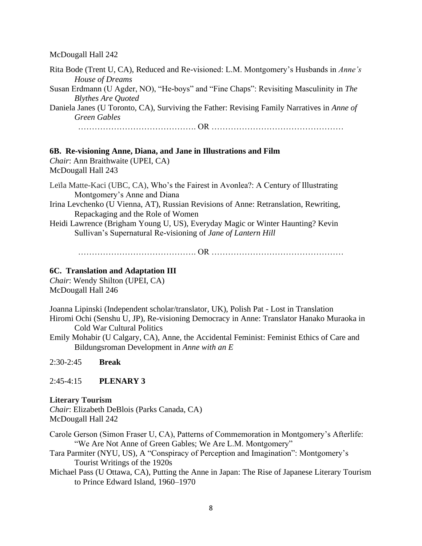#### McDougall Hall 242

Rita Bode (Trent U, CA), Reduced and Re-visioned: L.M. Montgomery's Husbands in *Anne's House of Dreams* Susan Erdmann (U Agder, NO), "He-boys" and "Fine Chaps": Revisiting Masculinity in *The* 

*Blythes Are Quoted* Daniela Janes (U Toronto, CA), Surviving the Father: Revising Family Narratives in *Anne of Green Gables*

……………………………………. OR …………………………………………

#### **6B. Re-visioning Anne, Diana, and Jane in Illustrations and Film**

*Chair*: Ann Braithwaite (UPEI, CA) McDougall Hall 243

Leïla Matte-Kaci (UBC, CA), Who's the Fairest in Avonlea?: A Century of Illustrating Montgomery's Anne and Diana

- Irina Levchenko (U Vienna, AT), Russian Revisions of Anne: Retranslation, Rewriting, Repackaging and the Role of Women
- Heidi Lawrence (Brigham Young U, US), Everyday Magic or Winter Haunting? Kevin Sullivan's Supernatural Re-visioning of *Jane of Lantern Hill*

……………………………………. OR …………………………………………

#### **6C. Translation and Adaptation III**

*Chair*: Wendy Shilton (UPEI, CA) McDougall Hall 246

Joanna Lipinski (Independent scholar/translator, UK), Polish Pat - Lost in Translation Hiromi Ochi (Senshu U, JP), Re-visioning Democracy in Anne: Translator Hanako Muraoka in Cold War Cultural Politics

Emily Mohabir (U Calgary, CA), Anne, the Accidental Feminist: Feminist Ethics of Care and Bildungsroman Development in *Anne with an E*

2:30-2:45 **Break**

2:45-4:15 **PLENARY 3**

**Literary Tourism** *Chair*: Elizabeth DeBlois (Parks Canada, CA) McDougall Hall 242

Carole Gerson (Simon Fraser U, CA), Patterns of Commemoration in Montgomery's Afterlife: "We Are Not Anne of Green Gables; We Are L.M. Montgomery"

- Tara Parmiter (NYU, US), A "Conspiracy of Perception and Imagination": Montgomery's Tourist Writings of the 1920s
- Michael Pass (U Ottawa, CA), Putting the Anne in Japan: The Rise of Japanese Literary Tourism to Prince Edward Island, 1960–1970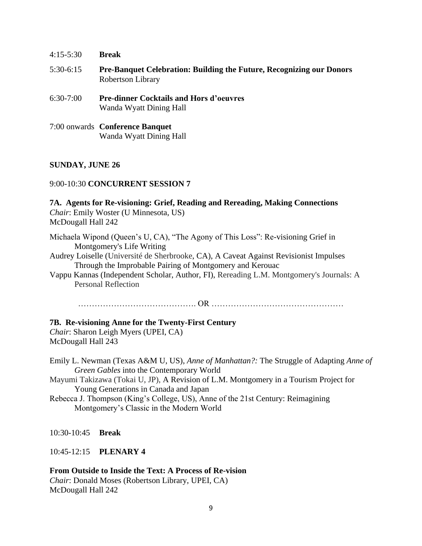| $4:15-5:30$          | <b>Break</b>                                                                                            |
|----------------------|---------------------------------------------------------------------------------------------------------|
| $5:30-6:15$          | <b>Pre-Banquet Celebration: Building the Future, Recognizing our Donors</b><br><b>Robertson Library</b> |
| $6:30-7:00$          | <b>Pre-dinner Cocktails and Hors d'oeuvres</b><br>Wanda Wyatt Dining Hall                               |
| $\sim$ $\sim$ $\sim$ | $\sim$ $\sim$ $\sim$                                                                                    |

7:00 onwards **Conference Banquet** Wanda Wyatt Dining Hall

# **SUNDAY, JUNE 26**

# 9:00-10:30 **CONCURRENT SESSION 7**

**7A. Agents for Re-visioning: Grief, Reading and Rereading, Making Connections** *Chair*: Emily Woster (U Minnesota, US) McDougall Hall 242

- Michaela Wipond (Queen's U, CA), "The Agony of This Loss": Re-visioning Grief in Montgomery's Life Writing
- Audrey Loiselle (Université de Sherbrooke, CA), A Caveat Against Revisionist Impulses Through the Improbable Pairing of Montgomery and Kerouac
- Vappu Kannas (Independent Scholar, Author, FI), Rereading L.M. Montgomery's Journals: A Personal Reflection

……………………………………. OR …………………………………………

# **7B. Re-visioning Anne for the Twenty-First Century**

*Chair*: Sharon Leigh Myers (UPEI, CA) McDougall Hall 243

- Emily L. Newman (Texas A&M U, US), *Anne of Manhattan?:* The Struggle of Adapting *Anne of Green Gables* into the Contemporary World
- Mayumi Takizawa (Tokai U, JP), A Revision of L.M. Montgomery in a Tourism Project for Young Generations in Canada and Japan
- Rebecca J. Thompson (King's College, US), Anne of the 21st Century: Reimagining Montgomery's Classic in the Modern World

10:30-10:45 **Break**

10:45-12:15 **PLENARY 4**

**From Outside to Inside the Text: A Process of Re-vision** *Chair*: Donald Moses (Robertson Library, UPEI, CA) McDougall Hall 242